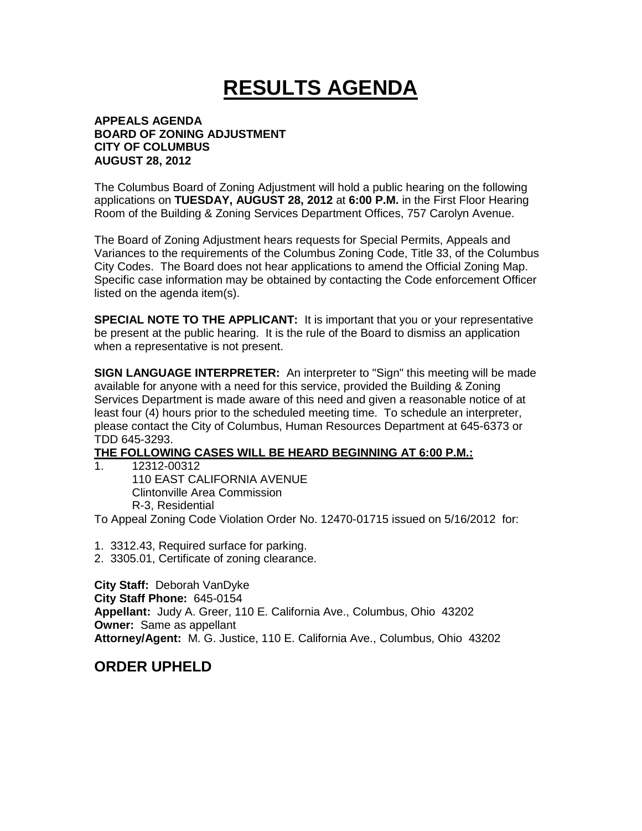# **RESULTS AGENDA**

#### **APPEALS AGENDA BOARD OF ZONING ADJUSTMENT CITY OF COLUMBUS AUGUST 28, 2012**

The Columbus Board of Zoning Adjustment will hold a public hearing on the following applications on **TUESDAY, AUGUST 28, 2012** at **6:00 P.M.** in the First Floor Hearing Room of the Building & Zoning Services Department Offices, 757 Carolyn Avenue.

The Board of Zoning Adjustment hears requests for Special Permits, Appeals and Variances to the requirements of the Columbus Zoning Code, Title 33, of the Columbus City Codes. The Board does not hear applications to amend the Official Zoning Map. Specific case information may be obtained by contacting the Code enforcement Officer listed on the agenda item(s).

**SPECIAL NOTE TO THE APPLICANT:** It is important that you or your representative be present at the public hearing. It is the rule of the Board to dismiss an application when a representative is not present.

**SIGN LANGUAGE INTERPRETER:** An interpreter to "Sign" this meeting will be made available for anyone with a need for this service, provided the Building & Zoning Services Department is made aware of this need and given a reasonable notice of at least four (4) hours prior to the scheduled meeting time. To schedule an interpreter, please contact the City of Columbus, Human Resources Department at 645-6373 or TDD 645-3293.

## **THE FOLLOWING CASES WILL BE HEARD BEGINNING AT 6:00 P.M.:**

1. 12312-00312 110 EAST CALIFORNIA AVENUE Clintonville Area Commission R-3, Residential

To Appeal Zoning Code Violation Order No. 12470-01715 issued on 5/16/2012 for:

- 1. 3312.43, Required surface for parking.
- 2. 3305.01, Certificate of zoning clearance.

**City Staff:** Deborah VanDyke **City Staff Phone:** 645-0154 **Appellant:** Judy A. Greer, 110 E. California Ave., Columbus, Ohio 43202 **Owner:** Same as appellant **Attorney/Agent:** M. G. Justice, 110 E. California Ave., Columbus, Ohio 43202

### **ORDER UPHELD**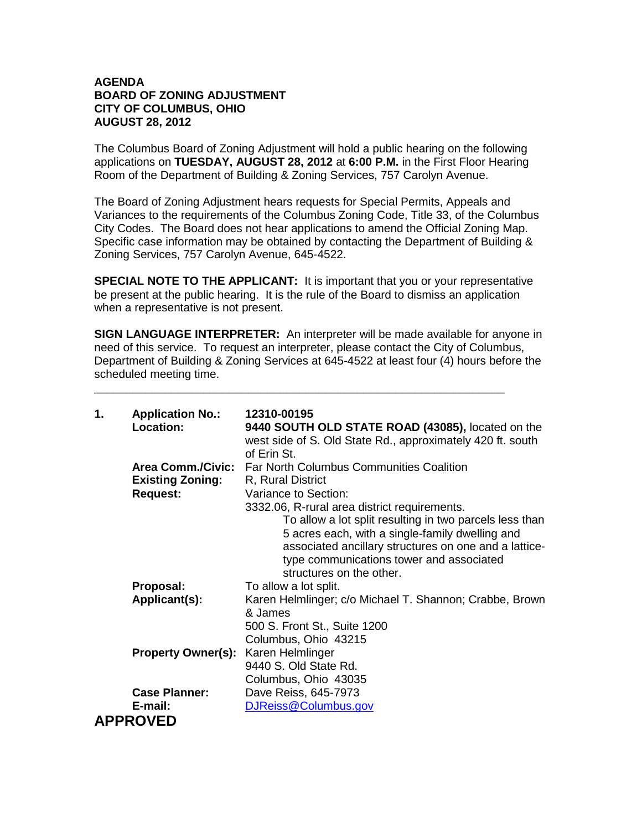#### **AGENDA BOARD OF ZONING ADJUSTMENT CITY OF COLUMBUS, OHIO AUGUST 28, 2012**

The Columbus Board of Zoning Adjustment will hold a public hearing on the following applications on **TUESDAY, AUGUST 28, 2012** at **6:00 P.M.** in the First Floor Hearing Room of the Department of Building & Zoning Services, 757 Carolyn Avenue.

The Board of Zoning Adjustment hears requests for Special Permits, Appeals and Variances to the requirements of the Columbus Zoning Code, Title 33, of the Columbus City Codes. The Board does not hear applications to amend the Official Zoning Map. Specific case information may be obtained by contacting the Department of Building & Zoning Services, 757 Carolyn Avenue, 645-4522.

**SPECIAL NOTE TO THE APPLICANT:** It is important that you or your representative be present at the public hearing. It is the rule of the Board to dismiss an application when a representative is not present.

**SIGN LANGUAGE INTERPRETER:** An interpreter will be made available for anyone in need of this service. To request an interpreter, please contact the City of Columbus, Department of Building & Zoning Services at 645-4522 at least four (4) hours before the scheduled meeting time.

\_\_\_\_\_\_\_\_\_\_\_\_\_\_\_\_\_\_\_\_\_\_\_\_\_\_\_\_\_\_\_\_\_\_\_\_\_\_\_\_\_\_\_\_\_\_\_\_\_\_\_\_\_\_\_\_\_\_\_\_\_\_\_\_

| 1. | <b>Application No.:</b>   | 12310-00195                                                |
|----|---------------------------|------------------------------------------------------------|
|    | Location:                 | 9440 SOUTH OLD STATE ROAD (43085), located on the          |
|    |                           | west side of S. Old State Rd., approximately 420 ft. south |
|    |                           | of Erin St.                                                |
|    | <b>Area Comm./Civic:</b>  | <b>Far North Columbus Communities Coalition</b>            |
|    | <b>Existing Zoning:</b>   | R, Rural District                                          |
|    | <b>Request:</b>           | Variance to Section:                                       |
|    |                           | 3332.06, R-rural area district requirements.               |
|    |                           | To allow a lot split resulting in two parcels less than    |
|    |                           | 5 acres each, with a single-family dwelling and            |
|    |                           | associated ancillary structures on one and a lattice-      |
|    |                           | type communications tower and associated                   |
|    |                           | structures on the other.                                   |
|    | Proposal:                 | To allow a lot split.                                      |
|    | Applicant(s):             | Karen Helmlinger; c/o Michael T. Shannon; Crabbe, Brown    |
|    |                           | & James                                                    |
|    |                           | 500 S. Front St., Suite 1200                               |
|    |                           | Columbus, Ohio 43215                                       |
|    | <b>Property Owner(s):</b> | Karen Helmlinger                                           |
|    |                           | 9440 S. Old State Rd.                                      |
|    |                           | Columbus, Ohio 43035                                       |
|    | <b>Case Planner:</b>      | Dave Reiss, 645-7973                                       |
|    | E-mail:                   | DJReiss@Columbus.gov                                       |
|    | <b>APPROVED</b>           |                                                            |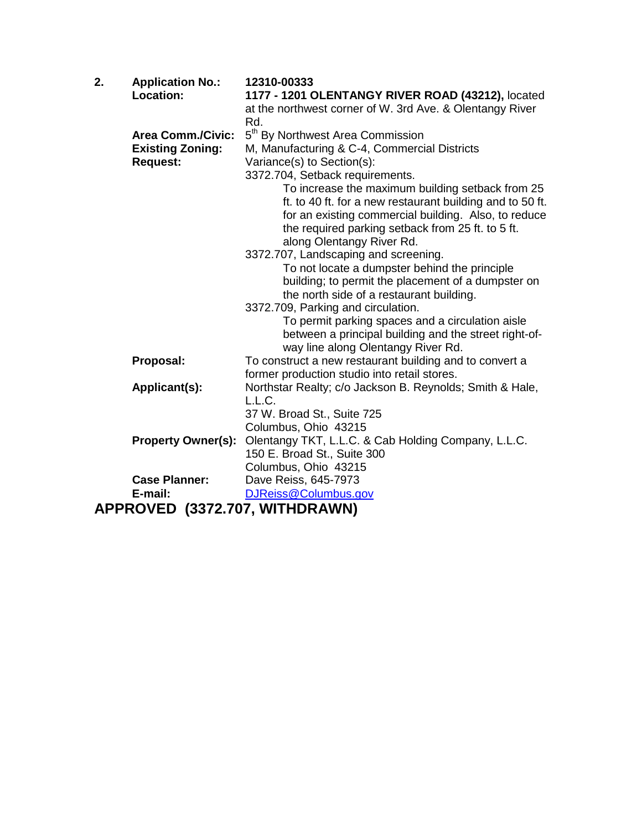| 2. | <b>Application No.:</b>        | 12310-00333                                               |
|----|--------------------------------|-----------------------------------------------------------|
|    | <b>Location:</b>               | 1177 - 1201 OLENTANGY RIVER ROAD (43212), located         |
|    |                                | at the northwest corner of W. 3rd Ave. & Olentangy River  |
|    |                                | Rd.                                                       |
|    | <b>Area Comm./Civic:</b>       | 5 <sup>th</sup> By Northwest Area Commission              |
|    | <b>Existing Zoning:</b>        | M, Manufacturing & C-4, Commercial Districts              |
|    | <b>Request:</b>                | Variance(s) to Section(s):                                |
|    |                                | 3372.704, Setback requirements.                           |
|    |                                | To increase the maximum building setback from 25          |
|    |                                | ft. to 40 ft. for a new restaurant building and to 50 ft. |
|    |                                | for an existing commercial building. Also, to reduce      |
|    |                                | the required parking setback from 25 ft. to 5 ft.         |
|    |                                | along Olentangy River Rd.                                 |
|    |                                | 3372.707, Landscaping and screening.                      |
|    |                                | To not locate a dumpster behind the principle             |
|    |                                | building; to permit the placement of a dumpster on        |
|    |                                | the north side of a restaurant building.                  |
|    |                                | 3372.709, Parking and circulation.                        |
|    |                                | To permit parking spaces and a circulation aisle          |
|    |                                | between a principal building and the street right-of-     |
|    |                                | way line along Olentangy River Rd.                        |
|    | Proposal:                      | To construct a new restaurant building and to convert a   |
|    |                                | former production studio into retail stores.              |
|    | Applicant(s):                  | Northstar Realty; c/o Jackson B. Reynolds; Smith & Hale,  |
|    |                                | L.L.C.                                                    |
|    |                                | 37 W. Broad St., Suite 725                                |
|    |                                | Columbus, Ohio 43215                                      |
|    | <b>Property Owner(s):</b>      | Olentangy TKT, L.L.C. & Cab Holding Company, L.L.C.       |
|    |                                | 150 E. Broad St., Suite 300                               |
|    |                                | Columbus, Ohio 43215                                      |
|    | <b>Case Planner:</b>           | Dave Reiss, 645-7973                                      |
|    | E-mail:                        | DJReiss@Columbus.gov                                      |
|    | APPROVED (3372.707, WITHDRAWN) |                                                           |
|    |                                |                                                           |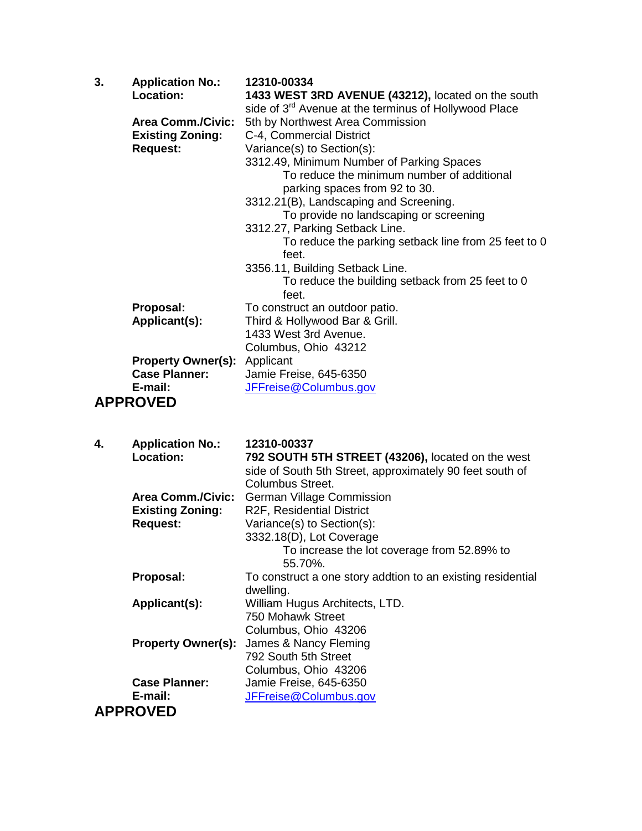| 3. | <b>Application No.:</b>             | 12310-00334                                                       |
|----|-------------------------------------|-------------------------------------------------------------------|
|    | <b>Location:</b>                    | 1433 WEST 3RD AVENUE (43212), located on the south                |
|    |                                     | side of 3 <sup>rd</sup> Avenue at the terminus of Hollywood Place |
|    | <b>Area Comm./Civic:</b>            | 5th by Northwest Area Commission                                  |
|    | <b>Existing Zoning:</b>             | C-4, Commercial District                                          |
|    | <b>Request:</b>                     | Variance(s) to Section(s):                                        |
|    |                                     | 3312.49, Minimum Number of Parking Spaces                         |
|    |                                     | To reduce the minimum number of additional                        |
|    |                                     | parking spaces from 92 to 30.                                     |
|    |                                     | 3312.21(B), Landscaping and Screening.                            |
|    |                                     | To provide no landscaping or screening                            |
|    |                                     | 3312.27, Parking Setback Line.                                    |
|    |                                     | To reduce the parking setback line from 25 feet to 0              |
|    |                                     | feet.                                                             |
|    |                                     | 3356.11, Building Setback Line.                                   |
|    |                                     | To reduce the building setback from 25 feet to 0                  |
|    |                                     | feet.                                                             |
|    | Proposal:                           | To construct an outdoor patio.                                    |
|    | Applicant(s):                       | Third & Hollywood Bar & Grill.                                    |
|    |                                     | 1433 West 3rd Avenue.                                             |
|    |                                     | Columbus, Ohio 43212                                              |
|    | <b>Property Owner(s): Applicant</b> |                                                                   |
|    | <b>Case Planner:</b>                | Jamie Freise, 645-6350                                            |
|    | E-mail:                             | JFFreise@Columbus.gov                                             |
|    | <b>APPROVED</b>                     |                                                                   |
|    |                                     |                                                                   |

| 4. | <b>Application No.:</b>   | 12310-00337                                                 |
|----|---------------------------|-------------------------------------------------------------|
|    | <b>Location:</b>          | 792 SOUTH 5TH STREET (43206), located on the west           |
|    |                           | side of South 5th Street, approximately 90 feet south of    |
|    |                           | Columbus Street.                                            |
|    | <b>Area Comm./Civic:</b>  | <b>German Village Commission</b>                            |
|    | <b>Existing Zoning:</b>   | R2F, Residential District                                   |
|    | <b>Request:</b>           | Variance(s) to Section(s):                                  |
|    |                           | 3332.18(D), Lot Coverage                                    |
|    |                           | To increase the lot coverage from 52.89% to                 |
|    |                           | 55.70%.                                                     |
|    | Proposal:                 | To construct a one story addtion to an existing residential |
|    |                           | dwelling.                                                   |
|    | Applicant(s):             | William Hugus Architects, LTD.                              |
|    |                           | 750 Mohawk Street                                           |
|    |                           | Columbus, Ohio 43206                                        |
|    | <b>Property Owner(s):</b> | James & Nancy Fleming                                       |
|    |                           | 792 South 5th Street                                        |
|    |                           | Columbus, Ohio 43206                                        |
|    | <b>Case Planner:</b>      | Jamie Freise, 645-6350                                      |
|    | E-mail:                   | JFFreise@Columbus.gov                                       |
|    | <b>APPROVED</b>           |                                                             |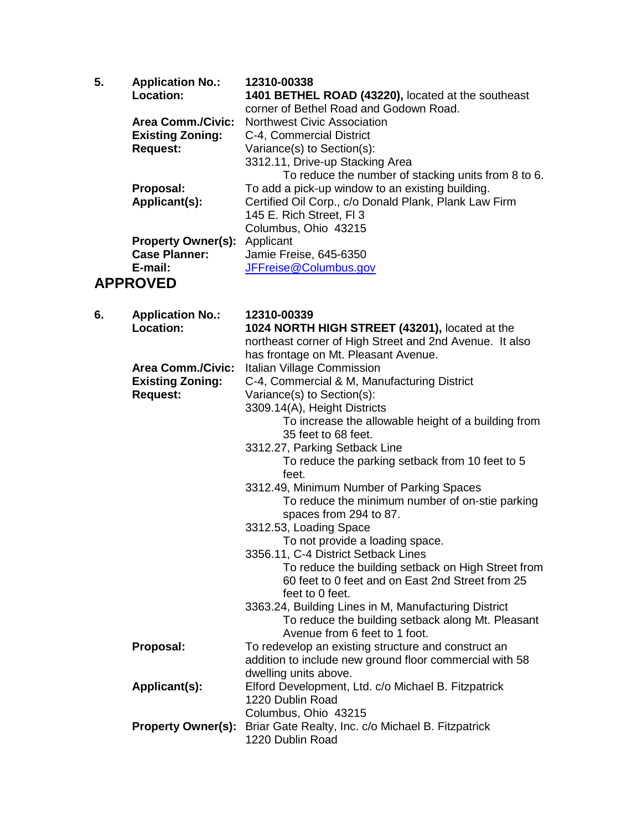| 5. | <b>Application No.:</b><br>Location:                | 12310-00338<br>1401 BETHEL ROAD (43220), located at the southeast                            |
|----|-----------------------------------------------------|----------------------------------------------------------------------------------------------|
|    |                                                     | corner of Bethel Road and Godown Road.                                                       |
|    | <b>Area Comm./Civic:</b><br><b>Existing Zoning:</b> | <b>Northwest Civic Association</b><br>C-4, Commercial District                               |
|    | <b>Request:</b>                                     | Variance(s) to Section(s):                                                                   |
|    |                                                     | 3312.11, Drive-up Stacking Area                                                              |
|    |                                                     | To reduce the number of stacking units from 8 to 6.                                          |
|    | Proposal:                                           | To add a pick-up window to an existing building.                                             |
|    | Applicant(s):                                       | Certified Oil Corp., c/o Donald Plank, Plank Law Firm                                        |
|    |                                                     | 145 E. Rich Street, FI 3                                                                     |
|    |                                                     | Columbus, Ohio 43215                                                                         |
|    | <b>Property Owner(s):</b><br><b>Case Planner:</b>   | Applicant<br>Jamie Freise, 645-6350                                                          |
|    | E-mail:                                             | JFFreise@Columbus.gov                                                                        |
|    | <b>APPROVED</b>                                     |                                                                                              |
|    |                                                     |                                                                                              |
| 6. | <b>Application No.:</b>                             | 12310-00339                                                                                  |
|    | <b>Location:</b>                                    | 1024 NORTH HIGH STREET (43201), located at the                                               |
|    |                                                     | northeast corner of High Street and 2nd Avenue. It also                                      |
|    | <b>Area Comm./Civic:</b>                            | has frontage on Mt. Pleasant Avenue.                                                         |
|    | <b>Existing Zoning:</b>                             | Italian Village Commission<br>C-4, Commercial & M, Manufacturing District                    |
|    | <b>Request:</b>                                     | Variance(s) to Section(s):                                                                   |
|    |                                                     | 3309.14(A), Height Districts                                                                 |
|    |                                                     | To increase the allowable height of a building from                                          |
|    |                                                     | 35 feet to 68 feet.                                                                          |
|    |                                                     | 3312.27, Parking Setback Line                                                                |
|    |                                                     | To reduce the parking setback from 10 feet to 5                                              |
|    |                                                     | feet.                                                                                        |
|    |                                                     | 3312.49, Minimum Number of Parking Spaces<br>To reduce the minimum number of on-stie parking |
|    |                                                     | spaces from 294 to 87.                                                                       |
|    |                                                     | 3312.53, Loading Space                                                                       |
|    |                                                     | To not provide a loading space.                                                              |
|    |                                                     | 3356.11, C-4 District Setback Lines                                                          |
|    |                                                     | To reduce the building setback on High Street from                                           |
|    |                                                     | 60 feet to 0 feet and on East 2nd Street from 25                                             |
|    |                                                     | feet to 0 feet.<br>3363.24, Building Lines in M, Manufacturing District                      |
|    |                                                     | To reduce the building setback along Mt. Pleasant                                            |
|    |                                                     | Avenue from 6 feet to 1 foot.                                                                |
|    | Proposal:                                           | To redevelop an existing structure and construct an                                          |
|    |                                                     | addition to include new ground floor commercial with 58                                      |
|    |                                                     | dwelling units above.                                                                        |
|    | Applicant(s):                                       | Elford Development, Ltd. c/o Michael B. Fitzpatrick                                          |
|    |                                                     | 1220 Dublin Road                                                                             |
|    |                                                     | Columbus, Ohio 43215                                                                         |
|    | <b>Property Owner(s):</b>                           | Briar Gate Realty, Inc. c/o Michael B. Fitzpatrick<br>1220 Dublin Road                       |
|    |                                                     |                                                                                              |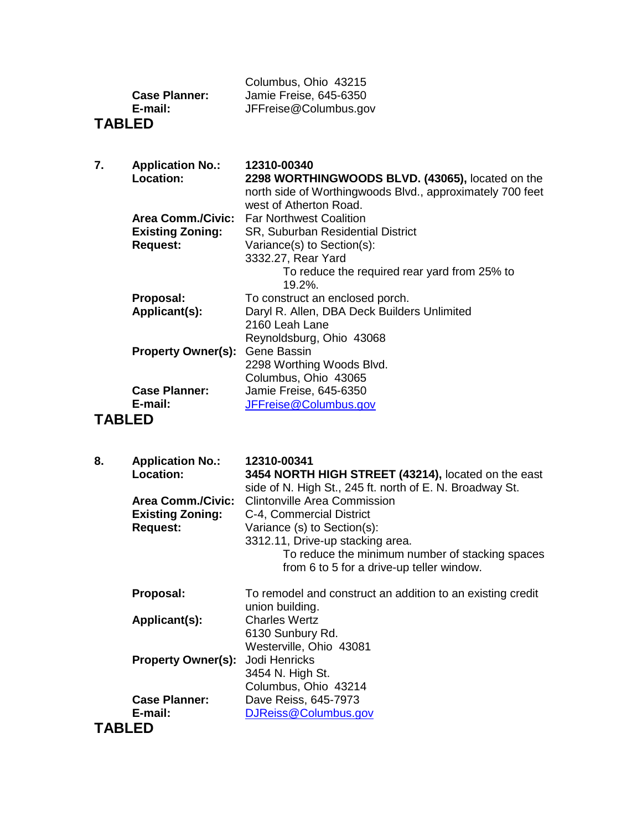|                      | Columbus, Ohio 43215   |
|----------------------|------------------------|
| <b>Case Planner:</b> | Jamie Freise, 645-6350 |
| E-mail:              | JFFreise@Columbus.gov  |
|                      |                        |

## **TABLED**

| 7. | <b>Application No.:</b>   | 12310-00340                                               |
|----|---------------------------|-----------------------------------------------------------|
|    | <b>Location:</b>          | 2298 WORTHINGWOODS BLVD. (43065), located on the          |
|    |                           | north side of Worthingwoods Blvd., approximately 700 feet |
|    |                           | west of Atherton Road.                                    |
|    |                           | <b>Area Comm./Civic:</b> Far Northwest Coalition          |
|    | <b>Existing Zoning:</b>   | <b>SR, Suburban Residential District</b>                  |
|    | <b>Request:</b>           | Variance(s) to Section(s):                                |
|    |                           | 3332.27, Rear Yard                                        |
|    |                           | To reduce the required rear yard from 25% to              |
|    |                           | $19.2\%$ .                                                |
|    | Proposal:                 | To construct an enclosed porch.                           |
|    | Applicant(s):             | Daryl R. Allen, DBA Deck Builders Unlimited               |
|    |                           | 2160 Leah Lane                                            |
|    |                           | Reynoldsburg, Ohio 43068                                  |
|    | <b>Property Owner(s):</b> | Gene Bassin                                               |
|    |                           | 2298 Worthing Woods Blvd.                                 |
|    |                           | Columbus, Ohio 43065                                      |
|    | <b>Case Planner:</b>      | Jamie Freise, 645-6350                                    |
|    | E-mail:                   | JFFreise@Columbus.gov                                     |
|    | TADI FR                   |                                                           |

#### **TABLED**

| 8.            | <b>Application No.:</b><br>Location:<br>Area Comm./Civic:<br><b>Existing Zoning:</b><br><b>Request:</b> | 12310-00341<br>3454 NORTH HIGH STREET (43214), located on the east<br>side of N. High St., 245 ft. north of E. N. Broadway St.<br>Clintonville Area Commission<br>C-4, Commercial District<br>Variance (s) to Section(s):<br>3312.11, Drive-up stacking area.<br>To reduce the minimum number of stacking spaces<br>from 6 to 5 for a drive-up teller window. |
|---------------|---------------------------------------------------------------------------------------------------------|---------------------------------------------------------------------------------------------------------------------------------------------------------------------------------------------------------------------------------------------------------------------------------------------------------------------------------------------------------------|
|               | Proposal:                                                                                               | To remodel and construct an addition to an existing credit<br>union building.                                                                                                                                                                                                                                                                                 |
|               | Applicant(s):                                                                                           | <b>Charles Wertz</b><br>6130 Sunbury Rd.<br>Westerville, Ohio 43081                                                                                                                                                                                                                                                                                           |
|               | <b>Property Owner(s):</b>                                                                               | Jodi Henricks<br>3454 N. High St.<br>Columbus, Ohio 43214                                                                                                                                                                                                                                                                                                     |
|               | <b>Case Planner:</b><br>E-mail:                                                                         | Dave Reiss, 645-7973<br>DJReiss@Columbus.gov                                                                                                                                                                                                                                                                                                                  |
| <b>TABLED</b> |                                                                                                         |                                                                                                                                                                                                                                                                                                                                                               |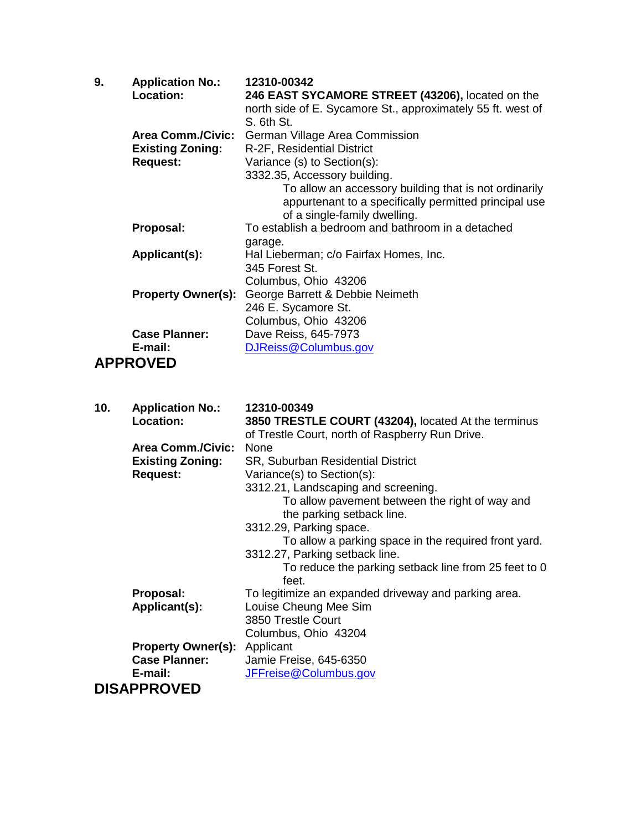| 9. | <b>Application No.:</b>   | 12310-00342                                                 |
|----|---------------------------|-------------------------------------------------------------|
|    | <b>Location:</b>          | 246 EAST SYCAMORE STREET (43206), located on the            |
|    |                           | north side of E. Sycamore St., approximately 55 ft. west of |
|    |                           | S. 6th St.                                                  |
|    | <b>Area Comm./Civic:</b>  | German Village Area Commission                              |
|    | <b>Existing Zoning:</b>   | R-2F, Residential District                                  |
|    | <b>Request:</b>           | Variance (s) to Section(s):                                 |
|    |                           | 3332.35, Accessory building.                                |
|    |                           | To allow an accessory building that is not ordinarily       |
|    |                           | appurtenant to a specifically permitted principal use       |
|    |                           | of a single-family dwelling.                                |
|    | Proposal:                 | To establish a bedroom and bathroom in a detached           |
|    |                           | garage.                                                     |
|    | Applicant(s):             | Hal Lieberman; c/o Fairfax Homes, Inc.                      |
|    |                           | 345 Forest St.                                              |
|    |                           | Columbus, Ohio 43206                                        |
|    | <b>Property Owner(s):</b> | George Barrett & Debbie Neimeth                             |
|    |                           | 246 E. Sycamore St.                                         |
|    |                           | Columbus, Ohio 43206                                        |
|    | <b>Case Planner:</b>      | Dave Reiss, 645-7973                                        |
|    | E-mail:                   | DJReiss@Columbus.gov                                        |
|    | <b>APPROVED</b>           |                                                             |

| 10. | <b>Application No.:</b>             | 12310-00349                                          |
|-----|-------------------------------------|------------------------------------------------------|
|     | Location:                           | 3850 TRESTLE COURT (43204), located At the terminus  |
|     |                                     | of Trestle Court, north of Raspberry Run Drive.      |
|     | <b>Area Comm./Civic:</b>            | <b>None</b>                                          |
|     | <b>Existing Zoning:</b>             | <b>SR, Suburban Residential District</b>             |
|     | <b>Request:</b>                     | Variance(s) to Section(s):                           |
|     |                                     | 3312.21, Landscaping and screening.                  |
|     |                                     | To allow pavement between the right of way and       |
|     |                                     | the parking setback line.                            |
|     |                                     | 3312.29, Parking space.                              |
|     |                                     | To allow a parking space in the required front yard. |
|     |                                     | 3312.27, Parking setback line.                       |
|     |                                     | To reduce the parking setback line from 25 feet to 0 |
|     |                                     | feet.                                                |
|     | Proposal:                           | To legitimize an expanded driveway and parking area. |
|     | Applicant(s):                       | Louise Cheung Mee Sim                                |
|     |                                     | 3850 Trestle Court                                   |
|     |                                     | Columbus, Ohio 43204                                 |
|     | <b>Property Owner(s): Applicant</b> |                                                      |
|     | <b>Case Planner:</b>                | Jamie Freise, 645-6350                               |
|     | E-mail:                             | JFFreise@Columbus.gov                                |
|     | <b>DISAPPROVED</b>                  |                                                      |